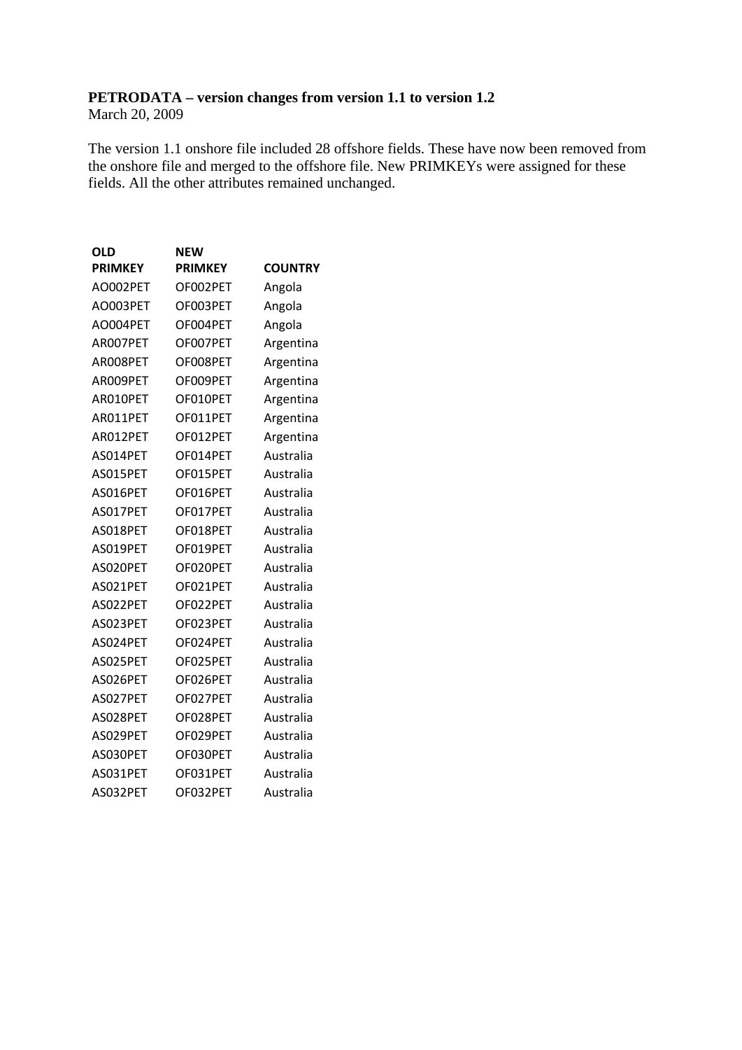# **PETRODATA – version changes from version 1.1 to version 1.2**

March 20, 2009

The version 1.1 onshore file included 28 offshore fields. These have now been removed from the onshore file and merged to the offshore file. New PRIMKEYs were assigned for these fields. All the other attributes remained unchanged.

| <b>OLD</b>     | <b>NEW</b>     |                |
|----------------|----------------|----------------|
| <b>PRIMKEY</b> | <b>PRIMKEY</b> | <b>COUNTRY</b> |
| AO002PET       | OF002PET       | Angola         |
| AO003PET       | OF003PET       | Angola         |
| AO004PET       | OF004PET       | Angola         |
| AR007PET       | OF007PET       | Argentina      |
| AR008PET       | OF008PET       | Argentina      |
| AR009PET       | OF009PET       | Argentina      |
| AR010PET       | OF010PET       | Argentina      |
| AR011PET       | OF011PET       | Argentina      |
| AR012PET       | OF012PET       | Argentina      |
| AS014PET       | OF014PET       | Australia      |
| AS015PET       | OF015PET       | Australia      |
| AS016PET       | OF016PET       | Australia      |
| AS017PET       | OF017PET       | Australia      |
| AS018PET       | OF018PET       | Australia      |
| AS019PET       | OF019PET       | Australia      |
| AS020PET       | OF020PET       | Australia      |
| AS021PET       | OF021PET       | Australia      |
| AS022PET       | OF022PET       | Australia      |
| AS023PET       | OF023PET       | Australia      |
| AS024PET       | OF024PET       | Australia      |
| AS025PET       | OF025PET       | Australia      |
| AS026PET       | OF026PET       | Australia      |
| AS027PET       | OF027PET       | Australia      |
| AS028PET       | OF028PET       | Australia      |
| AS029PET       | OF029PET       | Australia      |
| AS030PET       | OF030PET       | Australia      |
| AS031PET       | OF031PET       | Australia      |
| AS032PET       | OF032PET       | Australia      |